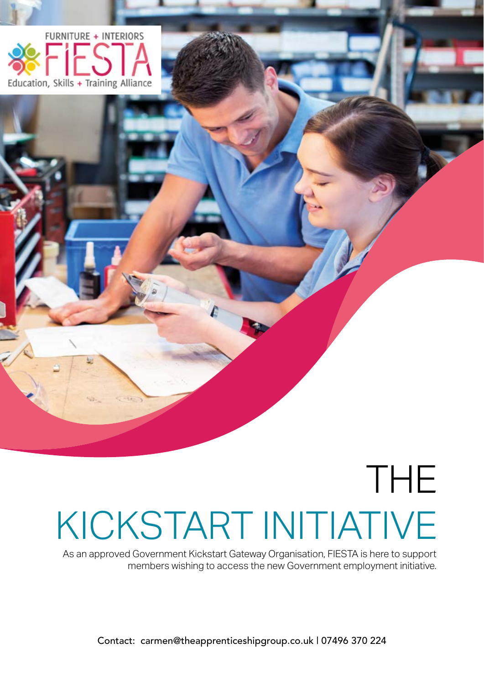

# THE KICKSTART INITIATIVE

As an approved Government Kickstart Gateway Organisation, FIESTA is here to support members wishing to access the new Government employment initiative.

Contact: carmen@theapprenticeshipgroup.co.uk | 07496 370 224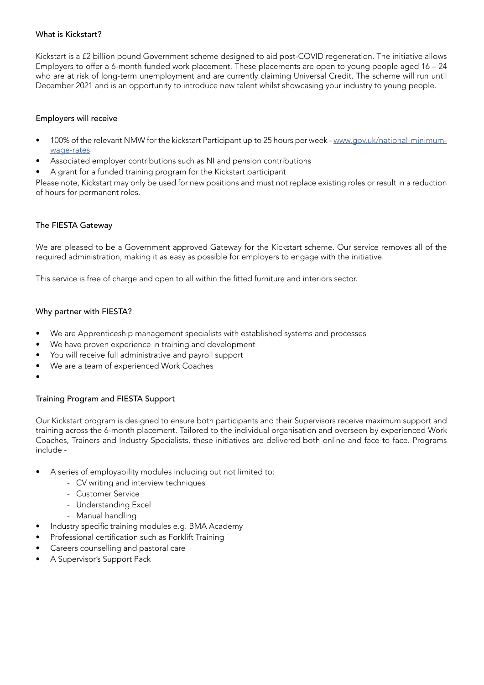### What is Kickstart?

Kickstart is a £2 billion pound Government scheme designed to aid post-COVID regeneration. The initiative allows Employers to offer a 6-month funded work placement. These placements are open to young people aged 16 – 24 who are at risk of long-term unemployment and are currently claiming Universal Credit. The scheme will run until December 2021 and is an opportunity to introduce new talent whilst showcasing your industry to young people.

### Employers will receive

- 100% of the relevant NMW for the kickstart Participant up to 25 hours per week - [www.gov.uk/national-minimum](http://www.gov.uk/national-minimum-wage-rates )[wage-rates](http://www.gov.uk/national-minimum-wage-rates )
- Associated employer contributions such as NI and pension contributions
- A grant for a funded training program for the Kickstart participant

Please note, Kickstart may only be used for new positions and must not replace existing roles or result in a reduction of hours for permanent roles.

### The FIESTA Gateway

We are pleased to be a Government approved Gateway for the Kickstart scheme. Our service removes all of the required administration, making it as easy as possible for employers to engage with the initiative.

This service is free of charge and open to all within the fitted furniture and interiors sector.

### Why partner with FIESTA?

- We are Apprenticeship management specialists with established systems and processes
- We have proven experience in training and development
- You will receive full administrative and payroll support
- We are a team of experienced Work Coaches
- •

## Training Program and FIESTA Support

Our Kickstart program is designed to ensure both participants and their Supervisors receive maximum support and training across the 6-month placement. Tailored to the individual organisation and overseen by experienced Work Coaches, Trainers and Industry Specialists, these initiatives are delivered both online and face to face. Programs include -

- A series of employability modules including but not limited to:
	- CV writing and interview techniques
	- Customer Service
	- Understanding Excel
	- Manual handling
- Industry specific training modules e.g. BMA Academy
- Professional certification such as Forklift Training
- Careers counselling and pastoral care
- A Supervisor's Support Pack